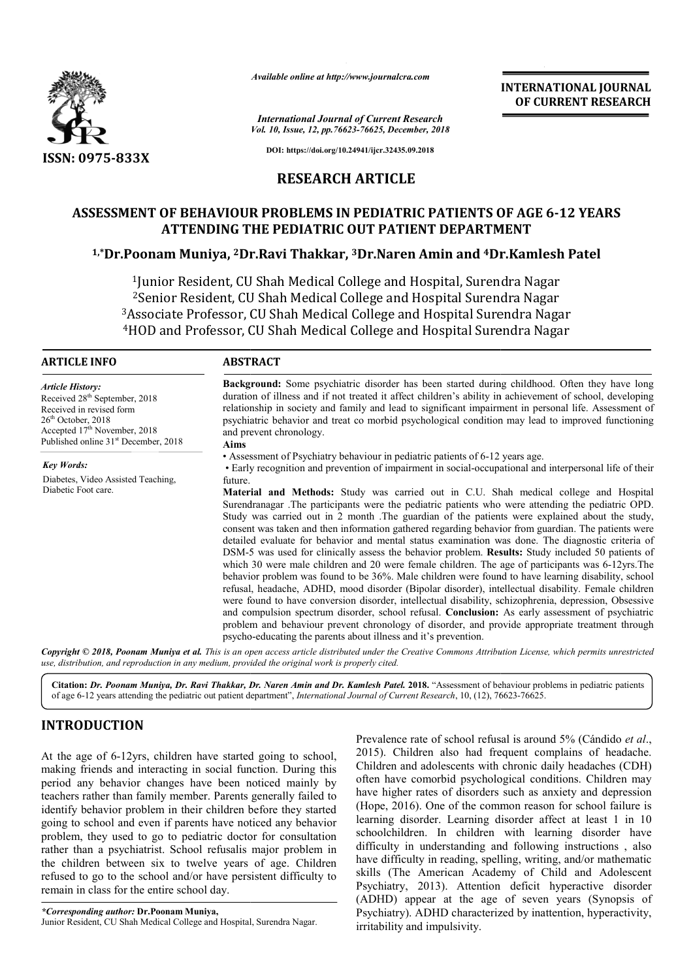

*Available online at http://www.journalcra.com*

*International Journal of Current Research Vol. 10, Issue, 12, pp.76623-76625, December, 2018* **INTERNATIONAL JOURNAL OF CURRENT RESEARCH**

**DOI: https://doi.org/10.24941/ijcr.32435.09.2018**

# **RESEARCH ARTICLE**

# **ASSESSMENT OF BEHAVIOUR PROBLEMS IN PEDIATRIC PATIENTS OF AGE 6 6-12 YEARS ATTENDING THE PEDIATRIC OUT PATIENT DEPARTMENT PATIENT DEPARTMENT**

# **1,\*Dr.Poonam Muniya, 2Dr.Ravi Thakkar, Dr.Ravi 3Dr.Naren Amin and 4Dr.Kamlesh Patel Dr.Kamlesh**

1Junior Resident, CU Shah Medical College and Hospital, Surendra Nagar 2Senior Resident, CU Shah Medical College and Hospital Surendra Nagar <sup>1</sup>Junior Resident, CU Shah Medical College and Hospital, Surendra Nagar<br><sup>2</sup>Senior Resident, CU Shah Medical College and Hospital Surendra Nagar<br><sup>3</sup>Associate Professor, CU Shah Medical College and Hospital Surendra Nagar<br><sup></sup> 4HOD and Professor, C CU Shah Medical College and Hospital Surendra Nagar

Received 28<sup>th</sup> September, 2018 Received in revised form 26<sup>th</sup> October, 2018

Accepted 17<sup>th</sup> November, 2018 Published online 31<sup>st</sup> December, 2018

Diabetes, Video Assisted Teaching,

*Article History:*

*Key Words:*

Diabetic Foot care.

### **ABSTRACT**

Background: Some psychiatric disorder has been started during childhood. Often they have long duration of illness and if not treated it affect children's ability in achievement of school, developing Background: Some psychiatric disorder has been started during childhood. Often they have long duration of illness and if not treated it affect children's ability in achievement of school, developing relationship in society psychiatric behavior and treat co morbid psychological condition may lead to improved functioning and prevent chronology. **Aims** Surendranagar .The participants were the pediatric patients of 6-12 years age.<br>
Surendranagar . Assessment of Psychiatry behaviour in pediatric patients of 6-12 years age.<br>
Surendranagar and prevention of impairment in soc

• Assessment of Psychiatry behaviour in pediatric patients of 6 6-12 years age.

• Early recognition and prevention of impairment in social-occupational and interpersonal life of their future.

**Material and Methods:** Study was carried out in C.U. Shah medical college and Hospital Study was carried out in 2 month .The guardian of the patients were explained about the study, consent was taken and then information gathered regarding behavior from guardian. The patients were detailed evaluate for behavior and m mental status examination was done. The diagnostic criteria of DSM-5 was used for clinically assess the behavior problem. **Results:** Study included 50 patients of which 30 were male children and 20 were female children. The age of participants was 6-12yrs. The behavior problem was found to be 36%. Male children were found to have learning disability, school refusal, headache, ADHD, mood disorder (Bipolar disorder), intellectual disability. Female children were found to have conversion disorder, intellectual dis disability, schizophrenia, depression, Obsessive and compulsion spectrum disorder, school refusal. **Conclusion:** problem and behaviour prevent chronology of disorder, and provide appropriate treatment through psycho psycho-educating the parents about illness and it's prevention. Study was carried out in 2 month .The guardian of the patients were explained about consent was taken and then information gathered regarding behavior from guardian. The pa detailed evaluate for behavior and mental status behavior problem was found to be 36%. Male children were found to have learning disability, school refusal, headache, ADHD, mood disorder (Bipolar disorder), intellectual disability. Female children were found to have conv

Copyright © 2018, Poonam Muniya et al. This is an open access article distributed under the Creative Commons Attribution License, which permits unrestrictea *use, distribution, and reproduction in any medium, provided the original work is properly cited.*

Citation: Dr. Poonam Muniya, Dr. Ravi Thakkar, Dr. Naren Amin and Dr. Kamlesh Patel. 2018. "Assessment of behaviour problems in pediatric patients<br>of age 6-12 years attending the pediatric out patient department", Internat of age 6-12 years attending the pediatric out patient department department", *International Journal of Current Research*, 10, (12), 76623

# **INTRODUCTION**

At the age of 6-12yrs, children have started going to school, making friends and interacting in social function. During this period any behavior changes have been noticed mainly by teachers rather than family member. Parents generally failed to identify behavior problem in their children before they started going to school and even if parents have noticed a problem, they used to go to pediatric doctor for consultation rather than a psychiatrist. School refusalis major problem in the children between six to twelve years of age. Children refused to go to the school and/or have persistent difficulty remain in class for the entire school day. 12yrs, children have started going to school, nnd interacting in social function. During this wior changes have been noticed mainly by an family member. Parents generally failed to roblem in their children before they star is major problem in<br>rs of age. Children<br>ersistent difficulty to

*\*Corresponding author:* **Dr.Poonam Muniya,** Junior Resident, CU Shah Medical College and Hospital, Surendra Nagar Nagar.

Prevalence rate of school refusal is around 5% (Cándido *et al*., 2015). Children also had frequent complains of headache. Children and adolescents with chronic daily headaches (CDH) often have comorbid psychological conditions. Children may have higher rates of disorders such as anxiety and depression (Hope, 2016). One of the common reason for school failure is learning disorder. Learning disorder affect at least 1 in 10 schoolchildren. In children with learning disorder have difficulty in understanding and following instructions , also have difficulty in reading, spelling, writing, and/or mathematic skills (The American Academy of Child and Adolescent Psychiatry, 2013). Attention deficit hyperactive disorder Psychiatry, 2013). Attention deficit hyperactive disorder (ADHD) appear at the age of seven years (Synopsis of Psychiatry). ADHD characterized by inattention, hyperactivity, irritability and impulsivity. higher rates of disorders such as anxiety and depression<br>e, 2016). One of the common reason for school failure is<br>ng disorder. Learning disorder affect at least 1 in 10<br>lchildren. In children with learning disorder have<br>ul **FERNATIONAL JOURNAL**<br> **OF CURRENT RESEARCH**<br> **OF CURRENT RESEARCH**<br> **OF CURRENT RESEARCH**<br> **AGE 6-12 YEARS**<br> **STT**<br> **Camlesh Patel**<br> **a** Nagar<br> **r** Nagar<br> **r** Nagar<br> **r** Nagar<br> **r** Nagar<br> **r** Nagar<br> **r** Nagar<br> **r** Nagar<br>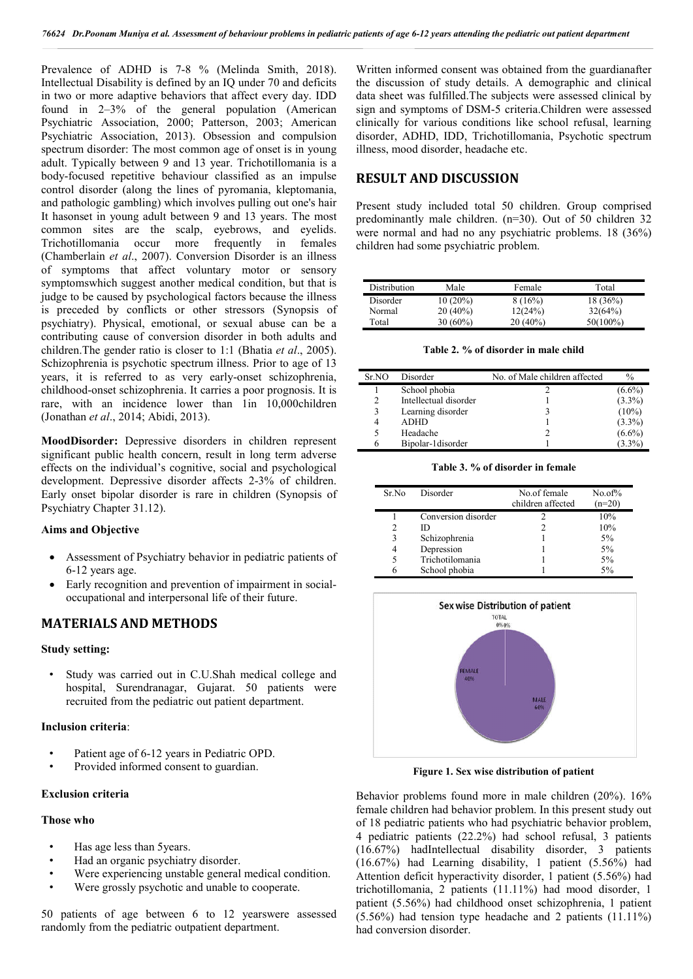Prevalence of ADHD is 7-8 % (Melinda Smith, 2018). Intellectual Disability is defined by an IQ under 70 and deficits in two or more adaptive behaviors that affect every day. IDD found in 2–3% of the general population (American Psychiatric Association, 2000; Patterson, 2003; American Psychiatric Association, 2013). Obsession and compulsion spectrum disorder: The most common age of onset is in young adult. Typically between 9 and 13 year. Trichotillomania is a body-focused repetitive behaviour classified as an impulse control disorder (along the lines of pyromania, kleptomania, and pathologic gambling) which involves pulling out one's hair It hasonset in young adult between 9 and 13 years. The most common sites are the scalp, eyebrows, and eyelids. Trichotillomania occur more frequently in females (Chamberlain *et al*., 2007). Conversion Disorder is an illness of symptoms that affect voluntary motor or sensory symptomswhich suggest another medical condition, but that is judge to be caused by psychological factors because the illness is preceded by conflicts or other stressors (Synopsis of psychiatry). Physical, emotional, or sexual abuse can be a contributing cause of conversion disorder in both adults and children.The gender ratio is closer to 1:1 (Bhatia *et al*., 2005). Schizophrenia is psychotic spectrum illness. Prior to age of 13 years, it is referred to as very early-onset schizophrenia, childhood-onset schizophrenia. It carries a poor prognosis. It is rare, with an incidence lower than 1in 10,000children (Jonathan *et al*., 2014; Abidi, 2013).

**MoodDisorder:** Depressive disorders in children represent significant public health concern, result in long term adverse effects on the individual's cognitive, social and psychological development. Depressive disorder affects 2-3% of children. Early onset bipolar disorder is rare in children (Synopsis of Psychiatry Chapter 31.12).

## **Aims and Objective**

- Assessment of Psychiatry behavior in pediatric patients of 6-12 years age.
- Early recognition and prevention of impairment in socialoccupational and interpersonal life of their future.

## **MATERIALS AND METHODS**

### **Study setting:**

Study was carried out in C.U.Shah medical college and hospital, Surendranagar, Gujarat. 50 patients were recruited from the pediatric out patient department.

#### **Inclusion criteria**:

- Patient age of 6-12 years in Pediatric OPD.
- Provided informed consent to guardian.

### **Exclusion criteria**

#### **Those who**

- Has age less than 5years.
- Had an organic psychiatry disorder.
- Were experiencing unstable general medical condition.
- Were grossly psychotic and unable to cooperate.

50 patients of age between 6 to 12 yearswere assessed randomly from the pediatric outpatient department.

Written informed consent was obtained from the guardianafter the discussion of study details. A demographic and clinical data sheet was fulfilled.The subjects were assessed clinical by sign and symptoms of DSM-5 criteria.Children were assessed clinically for various conditions like school refusal, learning disorder, ADHD, IDD, Trichotillomania, Psychotic spectrum illness, mood disorder, headache etc.

## **RESULT AND DISCUSSION**

Present study included total 50 children. Group comprised predominantly male children. (n=30). Out of 50 children 32 were normal and had no any psychiatric problems. 18 (36%) children had some psychiatric problem.

| Distribution | Male       | Female     | Total      |
|--------------|------------|------------|------------|
| Disorder     | $10(20\%)$ | 8(16%)     | $18(36\%)$ |
| Normal       | $20(40\%)$ | 12(24%)    | 32(64%)    |
| Total        | $30(60\%)$ | $20(40\%)$ | 50(100%)   |

**Table 2. % of disorder in male child**

| Sr.NO | Disorder              | No. of Male children affected | $\%$      |
|-------|-----------------------|-------------------------------|-----------|
|       | School phobia         |                               | $(6.6\%)$ |
| 2     | Intellectual disorder |                               | $(3.3\%)$ |
| 3     | Learning disorder     |                               | $(10\%)$  |
| 4     | <b>ADHD</b>           |                               | $(3.3\%)$ |
|       | Headache              |                               | $(6.6\%)$ |
| 6     | Bipolar-1 disorder    |                               | $(3.3\%)$ |
|       |                       |                               |           |

**Table 3. % of disorder in female**

| Sr No          | Disorder            | No.of female      | $No. of \%$ |
|----------------|---------------------|-------------------|-------------|
|                |                     | children affected | $(n=20)$    |
|                | Conversion disorder |                   | 10%         |
| $\mathfrak{D}$ | ID                  |                   | 10%         |
| 3              | Schizophrenia       |                   | 5%          |
|                | Depression          |                   | 5%          |
|                | Trichotilomania     |                   | 5%          |
|                | School phobia       |                   | 5%          |



**Figure 1. Sex wise distribution of patient**

Behavior problems found more in male children (20%). 16% female children had behavior problem. In this present study out of 18 pediatric patients who had psychiatric behavior problem, 4 pediatric patients (22.2%) had school refusal, 3 patients (16.67%) hadIntellectual disability disorder, 3 patients (16.67%) had Learning disability, 1 patient (5.56%) had Attention deficit hyperactivity disorder, 1 patient (5.56%) had trichotillomania, 2 patients (11.11%) had mood disorder, 1 patient (5.56%) had childhood onset schizophrenia, 1 patient (5.56%) had tension type headache and 2 patients (11.11%) had conversion disorder.